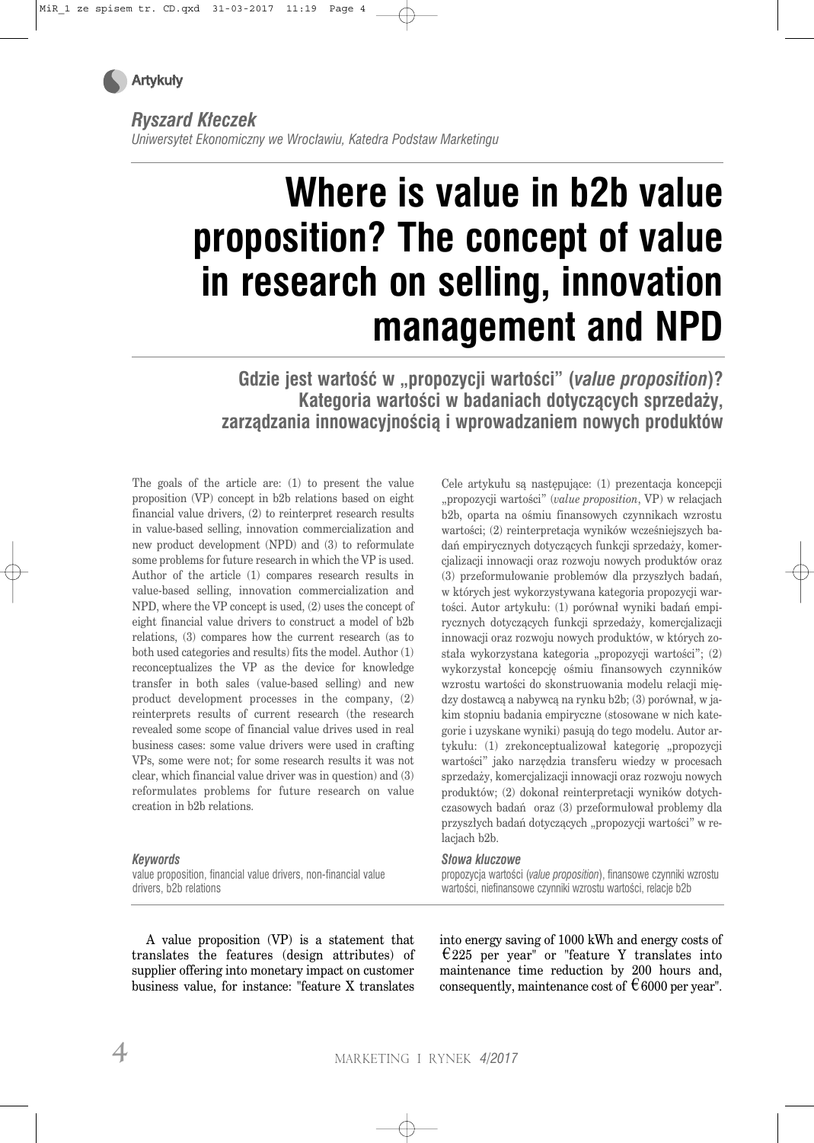

*Ryszard Kłeczek* 

*Uniwersytet Ekonomiczny we Wrocławiu, Katedra Podstaw Marketingu*

# **Where is value in b2b value proposition? The concept of value in research on selling, innovation management and NPD**

**Gdzie jest wartość w "propozycji wartości" (***value proposition***)? Kategoria wartości w badaniach dotyczących sprzedaży, zarządzania innowacyjnością i wprowadzaniem nowych produktów** 

The goals of the article are: (1) to present the value proposition (VP) concept in b2b relations based on eight financial value drivers, (2) to reinterpret research results in value-based selling, innovation commercialization and new product development (NPD) and (3) to reformulate some problems for future research in which the VP is used. Author of the article (1) compares research results in value-based selling, innovation commercialization and NPD, where the VP concept is used, (2) uses the concept of eight financial value drivers to construct a model of b2b relations, (3) compares how the current research (as to both used categories and results) fits the model. Author (1) reconceptualizes the VP as the device for knowledge transfer in both sales (value-based selling) and new product development processes in the company, (2) reinterprets results of current research (the research revealed some scope of financial value drives used in real business cases: some value drivers were used in crafting VPs, some were not; for some research results it was not clear, which financial value driver was in question) and (3) reformulates problems for future research on value creation in b2b relations.

#### "propozycji wartości" (*value proposition*, VP) w relacjach b2b, oparta na ośmiu finansowych czynnikach wzrostu wartości; (2) reinterpretacja wyników wcześniejszych badań empirycznych dotyczących funkcji sprzedaży, komercjalizacji innowacji oraz rozwoju nowych produktów oraz (3) przeformułowanie problemów dla przyszłych badań, w których jest wykorzystywana kategoria propozycji wartości. Autor artykułu: (1) porównał wyniki badań empirycznych dotyczących funkcji sprzedaży, komercjalizacji innowacji oraz rozwoju nowych produktów, w których została wykorzystana kategoria "propozycji wartości"; (2) wykorzystał koncepcję ośmiu finansowych czynników wzrostu wartości do skonstruowania modelu relacji między dostawcą a nabywcą na rynku b2b; (3) porównał, w jakim stopniu badania empiryczne (stosowane w nich kategorie i uzyskane wyniki) pasują do tego modelu. Autor artykułu: (1) zrekonceptualizował kategorię "propozycji wartości" jako narzędzia transferu wiedzy w procesach sprzedaży, komercjalizacji innowacji oraz rozwoju nowych produktów; (2) dokonał reinterpretacji wyników dotychczasowych badań oraz (3) przeformułował problemy dla przyszłych badań dotyczących "propozycji wartości" w relacjach b2b.

Cele artykułu są następujące: (1) prezentacja koncepcji

#### *Keywords*

value proposition, financial value drivers, non-financial value drivers, b2b relations

*Słowa kluczowe*  propozycja wartości (*value proposition*), finansowe czynniki wzrostu wartości, niefinansowe czynniki wzrostu wartości, relacje b2b

A value proposition (VP) is a statement that translates the features (design attributes) of supplier offering into monetary impact on customer business value, for instance: "feature X translates into energy saving of 1000 kWh and energy costs of  $\epsilon$ 225 per year" or "feature Y translates into maintenance time reduction by 200 hours and, consequently, maintenance cost of  $\epsilon$  6000 per year".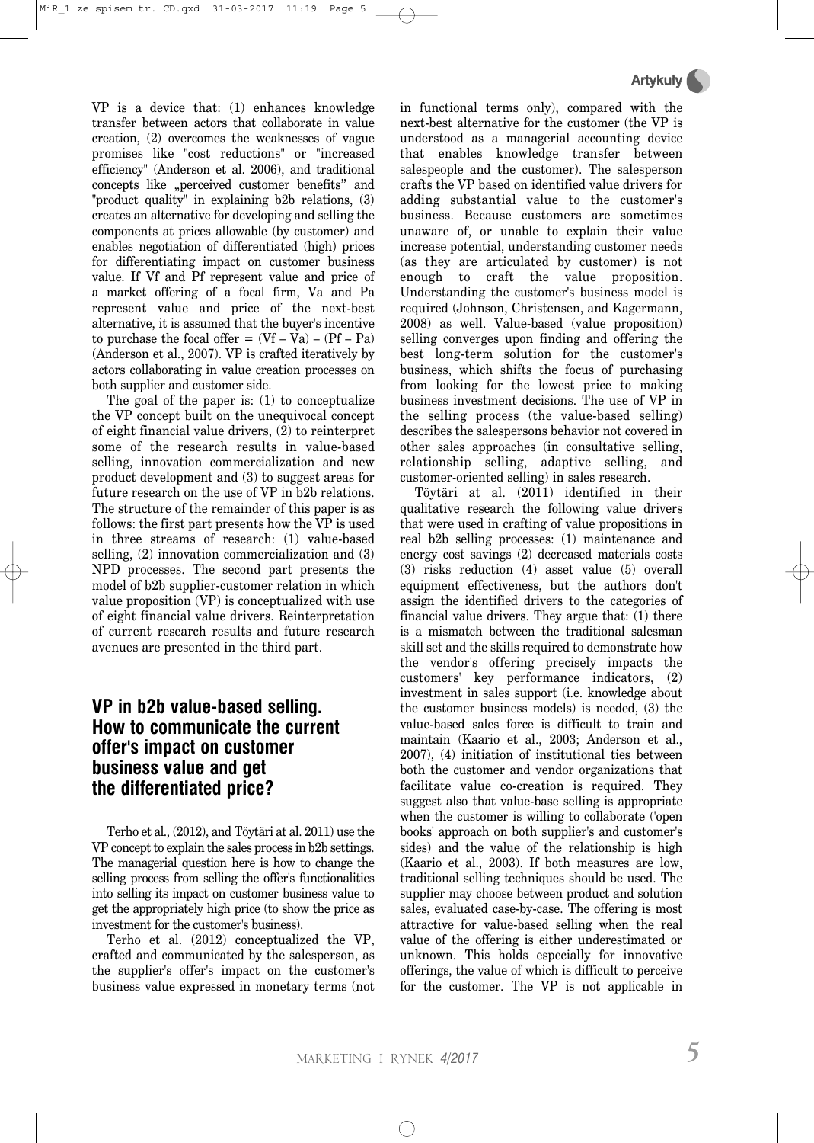VP is a device that: (1) enhances knowledge transfer between actors that collaborate in value creation, (2) overcomes the weaknesses of vague promises like "cost reductions" or "increased efficiency" (Anderson et al. 2006), and traditional concepts like "perceived customer benefits" and "product quality" in explaining b2b relations, (3) creates an alternative for developing and selling the components at prices allowable (by customer) and enables negotiation of differentiated (high) prices for differentiating impact on customer business value. If Vf and Pf represent value and price of a market offering of a focal firm, Va and Pa represent value and price of the next-best alternative, it is assumed that the buyer's incentive to purchase the focal offer  $= (Vf - Va) - (Pf - Pa)$ (Anderson et al., 2007). VP is crafted iteratively by actors collaborating in value creation processes on both supplier and customer side.

The goal of the paper is: (1) to conceptualize the VP concept built on the unequivocal concept of eight financial value drivers, (2) to reinterpret some of the research results in value-based selling, innovation commercialization and new product development and (3) to suggest areas for future research on the use of VP in b2b relations. The structure of the remainder of this paper is as follows: the first part presents how the VP is used in three streams of research: (1) value-based selling, (2) innovation commercialization and (3) NPD processes. The second part presents the model of b2b supplier-customer relation in which value proposition (VP) is conceptualized with use of eight financial value drivers. Reinterpretation of current research results and future research avenues are presented in the third part.

### **VP in b2b value-based selling. How to communicate the current offer's impact on customer business value and get the differentiated price?**

Terho et al., (2012), and Töytäri at al. 2011) use the VP concept to explain the sales process in b2b settings. The managerial question here is how to change the selling process from selling the offer's functionalities into selling its impact on customer business value to get the appropriately high price (to show the price as investment for the customer's business).

Terho et al. (2012) conceptualized the VP, crafted and communicated by the salesperson, as the supplier's offer's impact on the customer's business value expressed in monetary terms (not in functional terms only), compared with the next-best alternative for the customer (the VP is understood as a managerial accounting device that enables knowledge transfer between salespeople and the customer). The salesperson crafts the VP based on identified value drivers for adding substantial value to the customer's business. Because customers are sometimes unaware of, or unable to explain their value increase potential, understanding customer needs (as they are articulated by customer) is not enough to craft the value proposition. Understanding the customer's business model is required (Johnson, Christensen, and Kagermann, 2008) as well. Value-based (value proposition) selling converges upon finding and offering the best long-term solution for the customer's business, which shifts the focus of purchasing from looking for the lowest price to making business investment decisions. The use of VP in the selling process (the value-based selling) describes the salespersons behavior not covered in other sales approaches (in consultative selling, relationship selling, adaptive selling, and customer-oriented selling) in sales research.

Töytäri at al. (2011) identified in their qualitative research the following value drivers that were used in crafting of value propositions in real b2b selling processes: (1) maintenance and energy cost savings (2) decreased materials costs (3) risks reduction (4) asset value (5) overall equipment effectiveness, but the authors don't assign the identified drivers to the categories of financial value drivers. They argue that: (1) there is a mismatch between the traditional salesman skill set and the skills required to demonstrate how the vendor's offering precisely impacts the customers' key performance indicators, (2) investment in sales support (i.e. knowledge about the customer business models) is needed, (3) the value-based sales force is difficult to train and maintain (Kaario et al., 2003; Anderson et al., 2007), (4) initiation of institutional ties between both the customer and vendor organizations that facilitate value co-creation is required. They suggest also that value-base selling is appropriate when the customer is willing to collaborate ('open books' approach on both supplier's and customer's sides) and the value of the relationship is high (Kaario et al., 2003). If both measures are low, traditional selling techniques should be used. The supplier may choose between product and solution sales, evaluated case-by-case. The offering is most attractive for value-based selling when the real value of the offering is either underestimated or unknown. This holds especially for innovative offerings, the value of which is difficult to perceive for the customer. The VP is not applicable in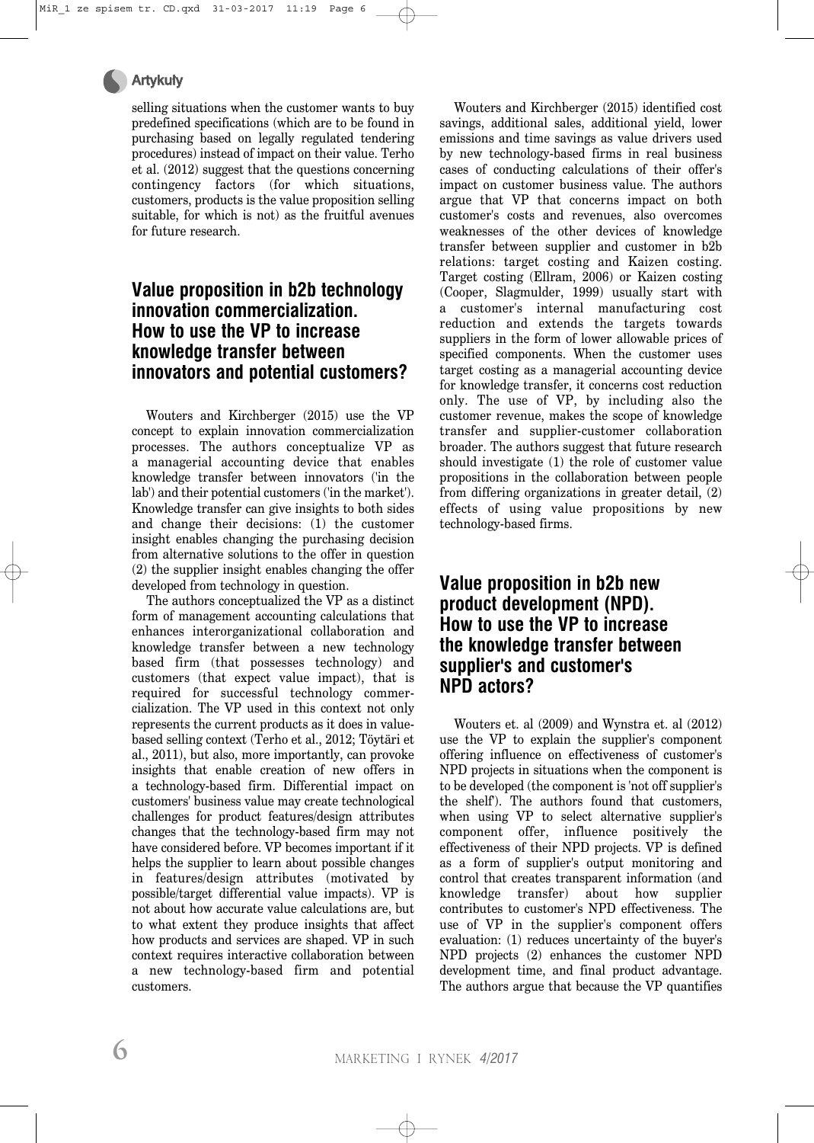#### Artykuły

selling situations when the customer wants to buy predefined specifications (which are to be found in purchasing based on legally regulated tendering procedures) instead of impact on their value. Terho et al. (2012) suggest that the questions concerning contingency factors (for which situations, customers, products is the value proposition selling suitable, for which is not) as the fruitful avenues for future research.

## **Value proposition in b2b technology innovation commercialization. How to use the VP to increase knowledge transfer between innovators and potential customers?**

Wouters and Kirchberger (2015) use the VP concept to explain innovation commercialization processes. The authors conceptualize VP as a managerial accounting device that enables knowledge transfer between innovators ('in the lab') and their potential customers ('in the market'). Knowledge transfer can give insights to both sides and change their decisions: (1) the customer insight enables changing the purchasing decision from alternative solutions to the offer in question (2) the supplier insight enables changing the offer developed from technology in question.

The authors conceptualized the VP as a distinct form of management accounting calculations that enhances interorganizational collaboration and knowledge transfer between a new technology based firm (that possesses technology) and customers (that expect value impact), that is required for successful technology commercialization. The VP used in this context not only represents the current products as it does in valuebased selling context (Terho et al., 2012; Töytäri et al., 2011), but also, more importantly, can provoke insights that enable creation of new offers in a technology-based firm. Differential impact on customers' business value may create technological challenges for product features/design attributes changes that the technology-based firm may not have considered before. VP becomes important if it helps the supplier to learn about possible changes in features/design attributes (motivated by possible/target differential value impacts). VP is not about how accurate value calculations are, but to what extent they produce insights that affect how products and services are shaped. VP in such context requires interactive collaboration between a new technology-based firm and potential customers.

Wouters and Kirchberger (2015) identified cost savings, additional sales, additional yield, lower emissions and time savings as value drivers used by new technology-based firms in real business cases of conducting calculations of their offer's impact on customer business value. The authors argue that VP that concerns impact on both customer's costs and revenues, also overcomes weaknesses of the other devices of knowledge transfer between supplier and customer in b2b relations: target costing and Kaizen costing. Target costing (Ellram, 2006) or Kaizen costing (Cooper, Slagmulder, 1999) usually start with a customer's internal manufacturing cost reduction and extends the targets towards suppliers in the form of lower allowable prices of specified components. When the customer uses target costing as a managerial accounting device for knowledge transfer, it concerns cost reduction only. The use of VP, by including also the customer revenue, makes the scope of knowledge transfer and supplier-customer collaboration broader. The authors suggest that future research should investigate (1) the role of customer value propositions in the collaboration between people from differing organizations in greater detail, (2) effects of using value propositions by new technology-based firms.

### **Value proposition in b2b new product development (NPD). How to use the VP to increase the knowledge transfer between supplier's and customer's NPD actors?**

Wouters et. al (2009) and Wynstra et. al (2012) use the VP to explain the supplier's component offering influence on effectiveness of customer's NPD projects in situations when the component is to be developed (the component is 'not off supplier's the shelf'). The authors found that customers, when using VP to select alternative supplier's component offer, influence positively the effectiveness of their NPD projects. VP is defined as a form of supplier's output monitoring and control that creates transparent information (and knowledge transfer) about how supplier contributes to customer's NPD effectiveness. The use of VP in the supplier's component offers evaluation: (1) reduces uncertainty of the buyer's NPD projects (2) enhances the customer NPD development time, and final product advantage. The authors argue that because the VP quantifies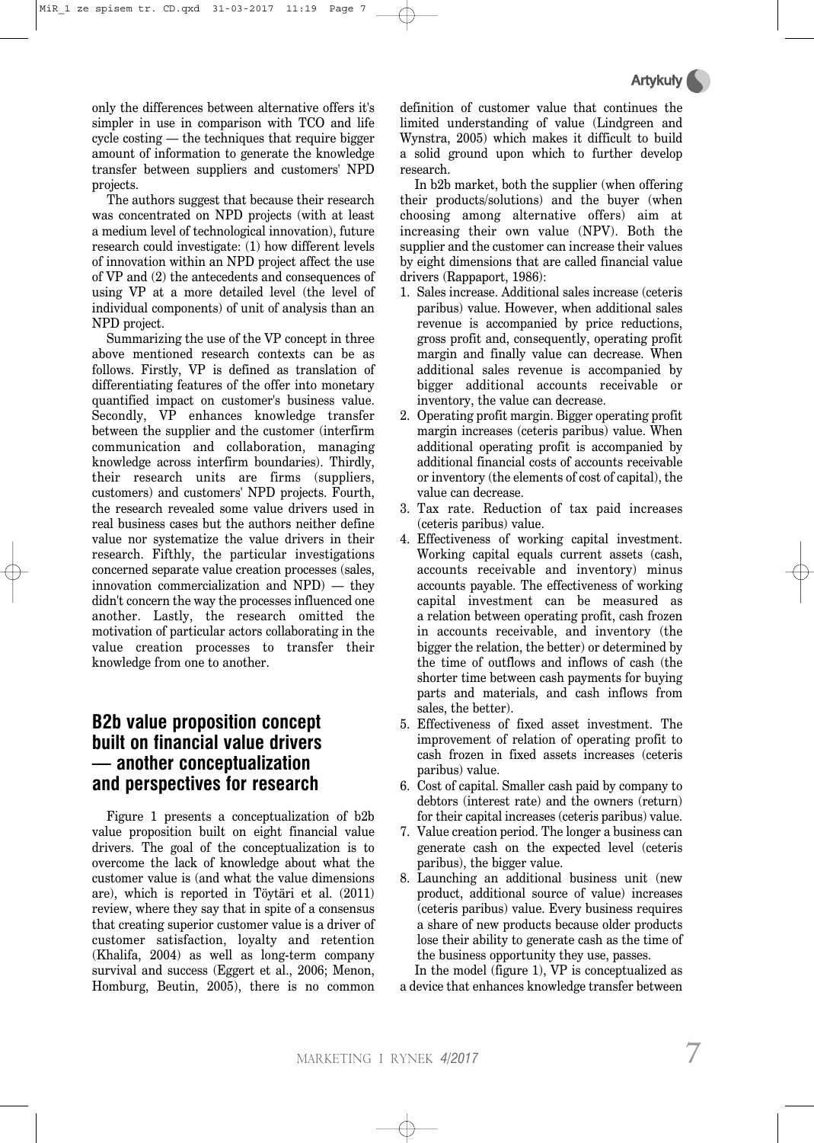only the differences between alternative offers it's simpler in use in comparison with TCO and life cycle costing — the techniques that require bigger amount of information to generate the knowledge transfer between suppliers and customers' NPD projects.

The authors suggest that because their research was concentrated on NPD projects (with at least a medium level of technological innovation), future research could investigate: (1) how different levels of innovation within an NPD project affect the use of VP and (2) the antecedents and consequences of using VP at a more detailed level (the level of individual components) of unit of analysis than an NPD project.

Summarizing the use of the VP concept in three above mentioned research contexts can be as follows. Firstly, VP is defined as translation of differentiating features of the offer into monetary quantified impact on customer's business value. Secondly, VP enhances knowledge transfer between the supplier and the customer (interfirm communication and collaboration, managing knowledge across interfirm boundaries). Thirdly, their research units are firms (suppliers, customers) and customers' NPD projects. Fourth, the research revealed some value drivers used in real business cases but the authors neither define value nor systematize the value drivers in their research. Fifthly, the particular investigations concerned separate value creation processes (sales, innovation commercialization and NPD) — they didn't concern the way the processes influenced one another. Lastly, the research omitted the motivation of particular actors collaborating in the value creation processes to transfer their knowledge from one to another.

### **B2b value proposition concept built on financial value drivers — another conceptualization and perspectives for research**

Figure 1 presents a conceptualization of b2b value proposition built on eight financial value drivers. The goal of the conceptualization is to overcome the lack of knowledge about what the customer value is (and what the value dimensions are), which is reported in Töytäri et al. (2011) review, where they say that in spite of a consensus that creating superior customer value is a driver of customer satisfaction, loyalty and retention (Khalifa, 2004) as well as long-term company survival and success (Eggert et al., 2006; Menon, Homburg, Beutin, 2005), there is no common definition of customer value that continues the limited understanding of value (Lindgreen and Wynstra, 2005) which makes it difficult to build a solid ground upon which to further develop research.

In b2b market, both the supplier (when offering their products/solutions) and the buyer (when choosing among alternative offers) aim at increasing their own value (NPV). Both the supplier and the customer can increase their values by eight dimensions that are called financial value drivers (Rappaport, 1986):

- 1. Sales increase. Additional sales increase (ceteris paribus) value. However, when additional sales revenue is accompanied by price reductions, gross profit and, consequently, operating profit margin and finally value can decrease. When additional sales revenue is accompanied by bigger additional accounts receivable or inventory, the value can decrease.
- 2. Operating profit margin. Bigger operating profit margin increases (ceteris paribus) value. When additional operating profit is accompanied by additional financial costs of accounts receivable or inventory (the elements of cost of capital), the value can decrease.
- 3. Tax rate. Reduction of tax paid increases (ceteris paribus) value.
- 4. Effectiveness of working capital investment. Working capital equals current assets (cash, accounts receivable and inventory) minus accounts payable. The effectiveness of working capital investment can be measured as a relation between operating profit, cash frozen in accounts receivable, and inventory (the bigger the relation, the better) or determined by the time of outflows and inflows of cash (the shorter time between cash payments for buying parts and materials, and cash inflows from sales, the better).
- 5. Effectiveness of fixed asset investment. The improvement of relation of operating profit to cash frozen in fixed assets increases (ceteris paribus) value.
- 6. Cost of capital. Smaller cash paid by company to debtors (interest rate) and the owners (return) for their capital increases (ceteris paribus) value.
- 7. Value creation period. The longer a business can generate cash on the expected level (ceteris paribus), the bigger value.
- 8. Launching an additional business unit (new product, additional source of value) increases (ceteris paribus) value. Every business requires a share of new products because older products lose their ability to generate cash as the time of the business opportunity they use, passes.

In the model (figure 1), VP is conceptualized as a device that enhances knowledge transfer between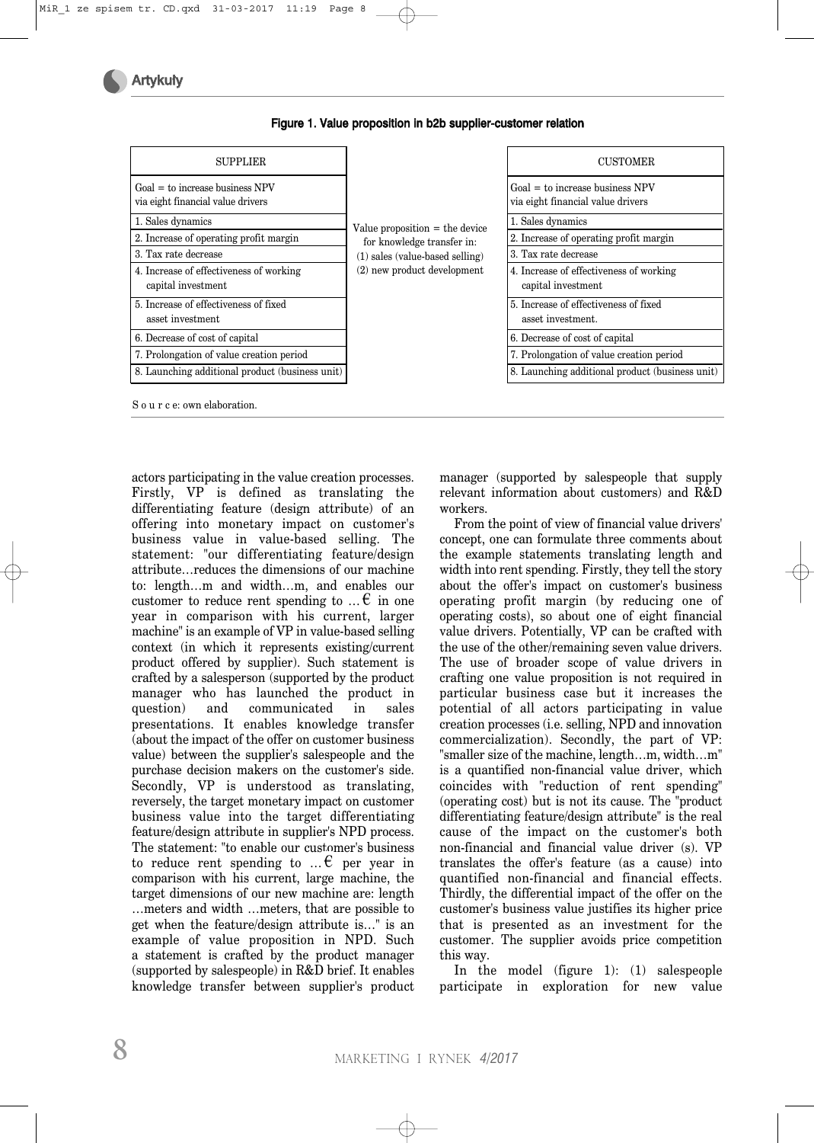| <b>SUPPLIER</b>                                                        |                                   | <b>CUSTOMER</b>                                                                                                                 |  |
|------------------------------------------------------------------------|-----------------------------------|---------------------------------------------------------------------------------------------------------------------------------|--|
| $Goal = to increase business NPV$<br>via eight financial value drivers |                                   | $Goal = to increase business NPV$<br>via eight financial value drivers                                                          |  |
| 1. Sales dynamics                                                      | Value proposition $=$ the device  | 1. Sales dynamics                                                                                                               |  |
| 2. Increase of operating profit margin                                 | for knowledge transfer in:        | 2. Increase of operating profit margin<br>3. Tax rate decrease<br>4. Increase of effectiveness of working<br>capital investment |  |
| 3. Tax rate decrease                                                   | $(1)$ sales (value-based selling) |                                                                                                                                 |  |
| 4. Increase of effectiveness of working<br>capital investment          | (2) new product development       |                                                                                                                                 |  |
| 5. Increase of effectiveness of fixed<br>asset investment              |                                   | 5. Increase of effectiveness of fixed<br>asset investment.                                                                      |  |
| 6. Decrease of cost of capital                                         |                                   | 6. Decrease of cost of capital                                                                                                  |  |
| 7. Prolongation of value creation period                               |                                   | 7. Prolongation of value creation period                                                                                        |  |
| 8. Launching additional product (business unit)                        |                                   | 8. Launching additional product (business unit)                                                                                 |  |
| S o u r c e: own elaboration.                                          |                                   |                                                                                                                                 |  |

Figure 1. Value proposition in b2b supplier-customer relation

actors participating in the value creation processes. Firstly, VP is defined as translating the differentiating feature (design attribute) of an offering into monetary impact on customer's business value in value-based selling. The statement: "our differentiating feature/design attribute…reduces the dimensions of our machine to: length…m and width…m, and enables our customer to reduce rent spending to  $\dots \in \mathbb{R}$  in one year in comparison with his current, larger machine" is an example of VP in value-based selling context (in which it represents existing/current product offered by supplier). Such statement is crafted by a salesperson (supported by the product manager who has launched the product in question) and communicated in sales presentations. It enables knowledge transfer (about the impact of the offer on customer business value) between the supplier's salespeople and the purchase decision makers on the customer's side. Secondly, VP is understood as translating, reversely, the target monetary impact on customer business value into the target differentiating feature/design attribute in supplier's NPD process. The statement: "to enable our customer's business to reduce rent spending to  $\mathcal{F}$  per year in comparison with his current, large machine, the target dimensions of our new machine are: length …meters and width …meters, that are possible to get when the feature/design attribute is…" is an example of value proposition in NPD. Such a statement is crafted by the product manager (supported by salespeople) in R&D brief. It enables knowledge transfer between supplier's product manager (supported by salespeople that supply relevant information about customers) and R&D workers.

From the point of view of financial value drivers' concept, one can formulate three comments about the example statements translating length and width into rent spending. Firstly, they tell the story about the offer's impact on customer's business operating profit margin (by reducing one of operating costs), so about one of eight financial value drivers. Potentially, VP can be crafted with the use of the other/remaining seven value drivers. The use of broader scope of value drivers in crafting one value proposition is not required in particular business case but it increases the potential of all actors participating in value creation processes (i.e. selling, NPD and innovation commercialization). Secondly, the part of VP: "smaller size of the machine, length…m, width…m" is a quantified non-financial value driver, which coincides with "reduction of rent spending" (operating cost) but is not its cause. The "product differentiating feature/design attribute" is the real cause of the impact on the customer's both non-financial and financial value driver (s). VP translates the offer's feature (as a cause) into quantified non-financial and financial effects. Thirdly, the differential impact of the offer on the customer's business value justifies its higher price that is presented as an investment for the customer. The supplier avoids price competition this way.

In the model (figure 1): (1) salespeople participate in exploration for new value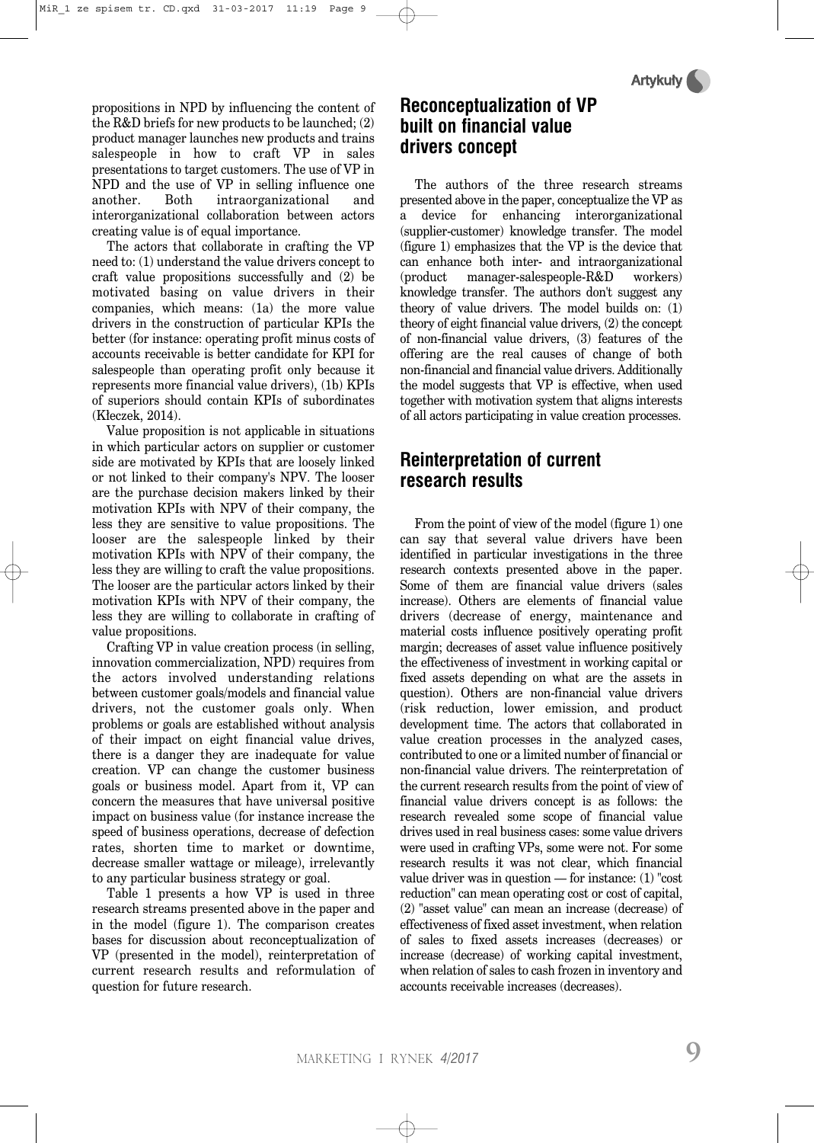propositions in NPD by influencing the content of the R&D briefs for new products to be launched; (2) product manager launches new products and trains salespeople in how to craft VP in sales presentations to target customers. The use of VP in NPD and the use of VP in selling influence one another. Both intraorganizational and interorganizational collaboration between actors creating value is of equal importance.

The actors that collaborate in crafting the VP need to: (1) understand the value drivers concept to craft value propositions successfully and (2) be motivated basing on value drivers in their companies, which means: (1a) the more value drivers in the construction of particular KPIs the better (for instance: operating profit minus costs of accounts receivable is better candidate for KPI for salespeople than operating profit only because it represents more financial value drivers), (1b) KPIs of superiors should contain KPIs of subordinates (Kłeczek, 2014).

Value proposition is not applicable in situations in which particular actors on supplier or customer side are motivated by KPIs that are loosely linked or not linked to their company's NPV. The looser are the purchase decision makers linked by their motivation KPIs with NPV of their company, the less they are sensitive to value propositions. The looser are the salespeople linked by their motivation KPIs with NPV of their company, the less they are willing to craft the value propositions. The looser are the particular actors linked by their motivation KPIs with NPV of their company, the less they are willing to collaborate in crafting of value propositions.

Crafting VP in value creation process (in selling, innovation commercialization, NPD) requires from the actors involved understanding relations between customer goals/models and financial value drivers, not the customer goals only. When problems or goals are established without analysis of their impact on eight financial value drives, there is a danger they are inadequate for value creation. VP can change the customer business goals or business model. Apart from it, VP can concern the measures that have universal positive impact on business value (for instance increase the speed of business operations, decrease of defection rates, shorten time to market or downtime, decrease smaller wattage or mileage), irrelevantly to any particular business strategy or goal.

Table 1 presents a how VP is used in three research streams presented above in the paper and in the model (figure 1). The comparison creates bases for discussion about reconceptualization of VP (presented in the model), reinterpretation of current research results and reformulation of question for future research.

# **Reconceptualization of VP built on financial value drivers concept**

The authors of the three research streams presented above in the paper, conceptualize the VP as a device for enhancing interorganizational (supplier-customer) knowledge transfer. The model (figure 1) emphasizes that the VP is the device that can enhance both inter- and intraorganizational (product manager-salespeople-R&D workers) knowledge transfer. The authors don't suggest any theory of value drivers. The model builds on: (1) theory of eight financial value drivers, (2) the concept of non-financial value drivers, (3) features of the offering are the real causes of change of both non-financial and financial value drivers. Additionally the model suggests that VP is effective, when used together with motivation system that aligns interests of all actors participating in value creation processes.

## **Reinterpretation of current research results**

From the point of view of the model (figure 1) one can say that several value drivers have been identified in particular investigations in the three research contexts presented above in the paper. Some of them are financial value drivers (sales increase). Others are elements of financial value drivers (decrease of energy, maintenance and material costs influence positively operating profit margin; decreases of asset value influence positively the effectiveness of investment in working capital or fixed assets depending on what are the assets in question). Others are non-financial value drivers (risk reduction, lower emission, and product development time. The actors that collaborated in value creation processes in the analyzed cases, contributed to one or a limited number of financial or non-financial value drivers. The reinterpretation of the current research results from the point of view of financial value drivers concept is as follows: the research revealed some scope of financial value drives used in real business cases: some value drivers were used in crafting VPs, some were not. For some research results it was not clear, which financial value driver was in question — for instance: (1) "cost reduction" can mean operating cost or cost of capital, (2) "asset value" can mean an increase (decrease) of effectiveness of fixed asset investment, when relation of sales to fixed assets increases (decreases) or increase (decrease) of working capital investment, when relation of sales to cash frozen in inventory and accounts receivable increases (decreases).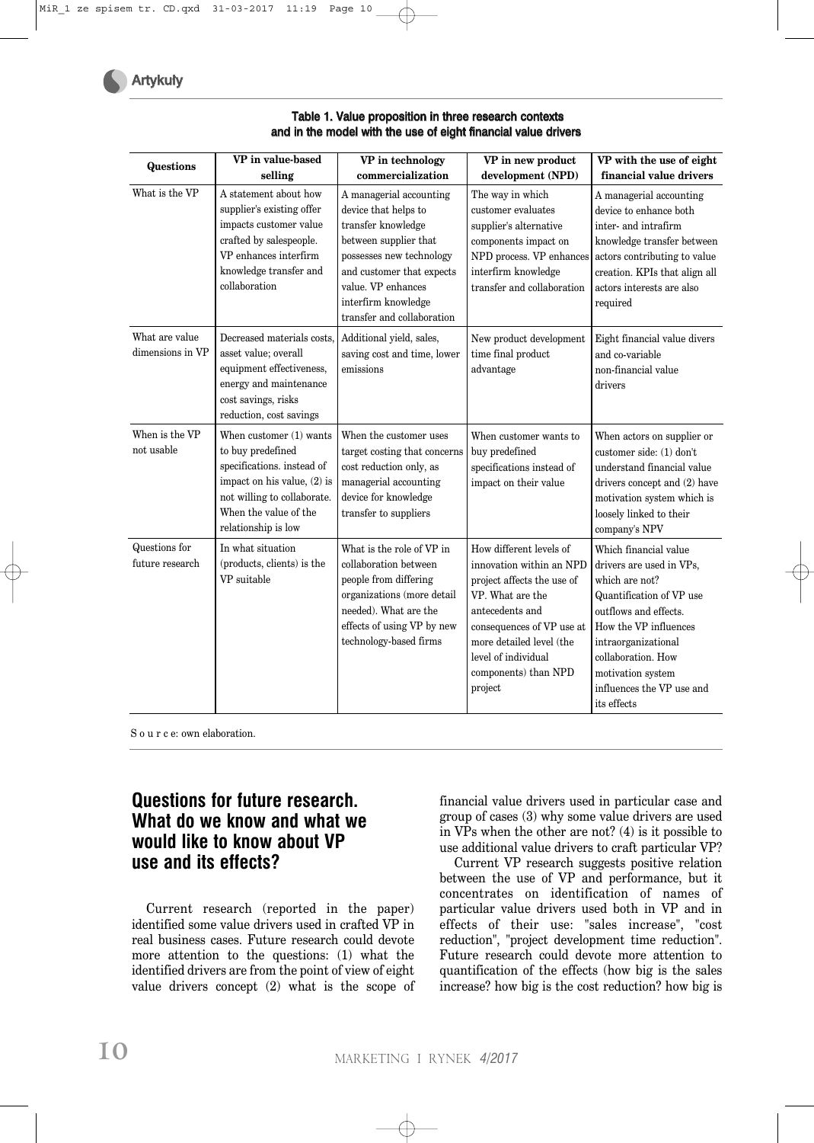|                                    | VP in value-based                                                                                                                                                                        | VP in technology                                                                                                                                                                                                                   | VP in new product                                                                                                                                                                                                                           | VP with the use of eight                                                                                                                                                                                                                                        |
|------------------------------------|------------------------------------------------------------------------------------------------------------------------------------------------------------------------------------------|------------------------------------------------------------------------------------------------------------------------------------------------------------------------------------------------------------------------------------|---------------------------------------------------------------------------------------------------------------------------------------------------------------------------------------------------------------------------------------------|-----------------------------------------------------------------------------------------------------------------------------------------------------------------------------------------------------------------------------------------------------------------|
| <b>Questions</b>                   | selling                                                                                                                                                                                  | commercialization                                                                                                                                                                                                                  | development (NPD)                                                                                                                                                                                                                           | financial value drivers                                                                                                                                                                                                                                         |
| What is the VP                     | A statement about how<br>supplier's existing offer<br>impacts customer value<br>crafted by salespeople.<br>VP enhances interfirm<br>knowledge transfer and<br>collaboration              | A managerial accounting<br>device that helps to<br>transfer knowledge<br>between supplier that<br>possesses new technology<br>and customer that expects<br>value. VP enhances<br>interfirm knowledge<br>transfer and collaboration | The way in which<br>customer evaluates<br>supplier's alternative<br>components impact on<br>NPD process. VP enhances<br>interfirm knowledge<br>transfer and collaboration                                                                   | A managerial accounting<br>device to enhance both<br>inter- and intrafirm<br>knowledge transfer between<br>actors contributing to value<br>creation. KPIs that align all<br>actors interests are also<br>required                                               |
| What are value<br>dimensions in VP | Decreased materials costs,<br>asset value; overall<br>equipment effectiveness,<br>energy and maintenance<br>cost savings, risks<br>reduction, cost savings                               | Additional yield, sales,<br>saving cost and time, lower<br>emissions                                                                                                                                                               | New product development<br>time final product<br>advantage                                                                                                                                                                                  | Eight financial value divers<br>and co-variable<br>non-financial value<br>drivers                                                                                                                                                                               |
| When is the VP<br>not usable       | When customer (1) wants<br>to buy predefined<br>specifications. instead of<br>impact on his value, (2) is<br>not willing to collaborate.<br>When the value of the<br>relationship is low | When the customer uses<br>target costing that concerns<br>cost reduction only, as<br>managerial accounting<br>device for knowledge<br>transfer to suppliers                                                                        | When customer wants to<br>buy predefined<br>specifications instead of<br>impact on their value                                                                                                                                              | When actors on supplier or<br>customer side: (1) don't<br>understand financial value<br>drivers concept and (2) have<br>motivation system which is<br>loosely linked to their<br>company's NPV                                                                  |
| Questions for<br>future research   | In what situation<br>(products, clients) is the<br>VP suitable                                                                                                                           | What is the role of VP in<br>collaboration between<br>people from differing<br>organizations (more detail<br>needed). What are the<br>effects of using VP by new<br>technology-based firms                                         | How different levels of<br>innovation within an NPD<br>project affects the use of<br>VP. What are the<br>antecedents and<br>consequences of VP use at<br>more detailed level (the<br>level of individual<br>components) than NPD<br>project | Which financial value<br>drivers are used in VPs,<br>which are not?<br>Quantification of VP use<br>outflows and effects.<br>How the VP influences<br>intraorganizational<br>collaboration. How<br>motivation system<br>influences the VP use and<br>its effects |

#### Table 1. Value proposition in three research contexts and in the model with the use of eight financial value drivers

S o u r c e: own elaboration.

## **Questions for future research. What do we know and what we would like to know about VP use and its effects?**

Current research (reported in the paper) identified some value drivers used in crafted VP in real business cases. Future research could devote more attention to the questions: (1) what the identified drivers are from the point of view of eight value drivers concept (2) what is the scope of financial value drivers used in particular case and group of cases (3) why some value drivers are used in VPs when the other are not? (4) is it possible to use additional value drivers to craft particular VP?

Current VP research suggests positive relation between the use of VP and performance, but it concentrates on identification of names of particular value drivers used both in VP and in effects of their use: "sales increase", "cost reduction", "project development time reduction". Future research could devote more attention to quantification of the effects (how big is the sales increase? how big is the cost reduction? how big is